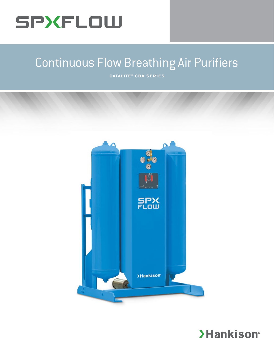## SPXFLOW

## Continuous Flow Breathing Air Purifiers

**CATALITE ® CBA SERIES**



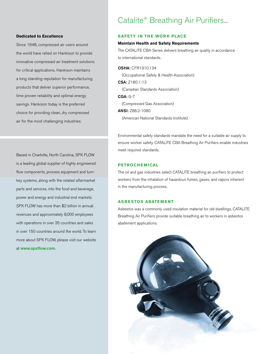### Catalite® Breathing Air Purifiers...

#### **Dedicated to Excellence**

Since 1948, compressed air users around the world have relied on Hankison to provide innovative compressed air treatment solutions for critical applications. Hankison maintains a long standing reputation for manufacturing products that deliver superior performance, time proven reliability and optimal energy savings. Hankison today is the preferred choice for providing clean, dry compressed air for the most challenging industries.

Based in Charlotte, North Carolina, SPX FLOW is a leading global supplier of highly engineered flow components, process equipment and turnkey systems, along with the related aftermarket parts and services, into the food and beverage, power and energy and industrial end markets. SPX FLOW has more than \$2 billion in annual revenues and approximately 8,000 employees with operations in over 35 countries and sales in over 150 countries around the world. To learn more about SPX FLOW, please visit our website at **www.spxflow.com.** 

#### **SAFETY IN THE WORK PLACE**

#### **Maintain Health and Safety Requirements**

The CATALITE CBA Series delivers breathing air quality in accordance to international standards.

OSHA: CFR1910.134 (Occupational Safety & Health Association) CSA: Z180.1-13 (Canadian Standards Association) CGA: G-7 (Compressed Gas Association)

ANSI: Z88.2-1080

(American National Standards Institute)

Environmental safety standards mandate the need for a suitable air supply to ensure worker safety. CATALITE CBA Breathing Air Purifiers enable industries meet required standards.

#### **PETROCHEMICAL**

The oil and gas industries select CATALITE breathing air purifiers to protect workers from the inhalation of hazardous fumes, gases, and vapors inherent in the manufacturing process.

#### **ASBESTOS ABATEMENT**

Asbestos was a commonly used insulation material for old dwellings. CATALITE Breathing Air Purifiers provide suitable breathing air to workers in asbestos abatement applications.

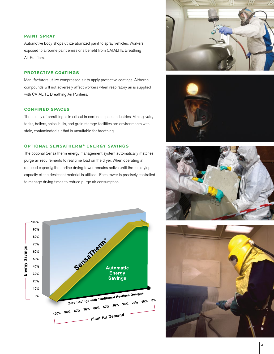#### **PAINT SPRAY**

Automotive body shops utilize atomized paint to spray vehicles. Workers exposed to airborne paint emissions benefit from CATALITE Breathing Air Purifiers.

#### **PROTECTIVE COATINGS**

Manufacturers utilize compressed air to apply protective coatings. Airborne compounds will not adversely affect workers when respiratory air is supplied with CATALITE Breathing Air Purifiers.

#### **CONFINED SPACES**

The quality of breathing is in critical in confined space industries. Mining, vats, tanks, boilers, ships' hulls, and grain storage facilities are environments with stale, contaminated air that is unsuitable for breathing.

#### **OPTIONAL SENSATHERM® ENERGY SAVINGS**

The optional SensaTherm energy management system automatically matches purge air requirements to real time load on the dryer. When operating at reduced capacity, the on-line drying tower remains active until the full drying capacity of the desiccant material is utilized. Each tower is precisely controlled to manage drying times to reduce purge air consumption.









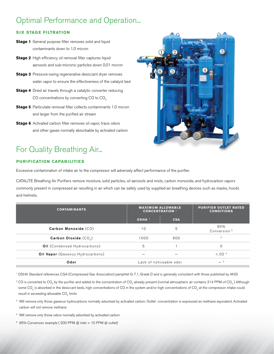## Optimal Performance and Operation...

#### **SIX STAGE FILTRATION**

- **Stage 1** General purpose filter removes solid and liquid contaminants down to 1.0 micron
- **Stage 2** High efficiency oil removal filter captures liquid aerosols and sub-micronic particles down 0.01 micron
- **Stage 3** Pressure-swing regenerative desiccant dryer removes water vapor to ensure the effectiveness of the catalyst bed
- **Stage 4** Dried air travels through a catalytic converter reducing CO concentrations by converting CO to  $CO<sub>2</sub>$
- **Stage 5** Particulate removal filter collects contaminants 1.0 micron and larger from the purified air stream
- **Stage 6** Activated carbon filter removes oil vapor, trace odors and other gases normally absorbable by activated carbon

## For Quality Breathing Air...

#### **PURIFICATION CAPABILITIES**

Excessive contamination of intake air to the compressor will adversely affect performance of the purifier.

CATALITE Breathing Air Purifiers remove moisture, solid particles, oil aerosols and mists, carbon monoxide, and hydrocarbon vapors commonly present in compressed air resulting in air which can be safely used by supplied-air breathing devices such as masks, hoods and helmets.

| <b>CONTAMINANTS</b>                     | <b>MAXIMUM ALLOWABLE</b><br><b>CONCENTRATION</b> 1 |            | <b>PURIFIER OUTLET RATED</b><br><b>CONDITIONS</b> |
|-----------------------------------------|----------------------------------------------------|------------|---------------------------------------------------|
|                                         | OSHA <sup>1</sup>                                  | <b>CSA</b> |                                                   |
| Carbon Monoxide (CO)                    | 10                                                 | 5          | 95%<br>Conversion <sup>5</sup>                    |
| Carbon Dioxide $(CO_0)$                 | 1000                                               | 600        | $\overline{2}$                                    |
| <b>Oil</b> (Condensed Hydrocarbons)     | 5                                                  |            | $\mathbf{0}$                                      |
| <b>Oil Vapor</b> (Gaseous Hydrocarbons) |                                                    |            | < 0.02 <sup>3</sup>                               |
| Odor                                    | Lack of noticeable odor                            |            |                                                   |

<sup>1</sup> OSHA Standard references CGA (Compressed Gas Association) pamphlet G-7.1, Grade D and is generally consistent with those published by ANSI

- <sup>2</sup> CO is converted to CO<sub>2</sub> by the purifier and added to the concentration of CO<sub>2</sub> already present (normal atmospheric air contains 314 PPM of CO<sub>2</sub>) Although some CO<sub>2</sub> is absorbed in the desiccant beds, high concentrations of CO in the system and/or high concentrations of CO<sub>2</sub> at the compressor intake could result in exceeding allowable  $CO<sub>o</sub>$  limits
- <sup>3</sup> Will remove only those gaseous hydrocarbons normally adsorbed by activated carbon. Outlet concentration is expressed as methane equivalent, Activated carbon will not remove methane
- 4 Will remove only those odors normally adsorbed by activated carbon
- $5$  95% Conversion example (200 PPM @ inlet = 10 PPM @ outlet)

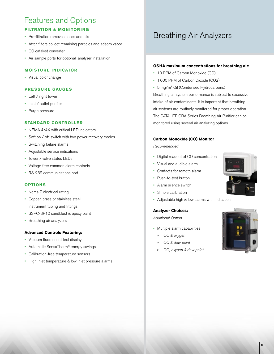## Features and Options

#### **FILTRATION & MONITORING**

- Pre-filtration removes solids and oils
- After-filters collect remaining particles and adsorb vapor
- CO catalyst converter
- Air sample ports for optional analyzer installation

#### **MOISTURE INDICATOR**

• Visual color change

#### **PRESSURE GAUGES**

- Left / right tower
- Inlet / outlet purifier
- Purge pressure

#### **STANDARD CONTROLLER**

- NEMA 4/4X with critical LED indicators
- Soft on / off switch with two power recovery modes
- Switching failure alarms
- Adjustable service indications
- Tower / valve status LEDs
- Voltage free common alarm contacts
- RS-232 communications port

#### **OPTIONS**

- Nema 7 electrical rating
- Copper, brass or stainless steel instrument tubing and fittings
- SSPC-SP10 sandblast & epoxy paint
- Breathing air analyzers

#### **Advanced Controls Featuring:**

- Vacuum fluorescent text display
- Automatic SensaTherm® energy savings
- Calibration-free temperature sensors
- High inlet temperature & low inlet pressure alarms

## Breathing Air Analyzers

#### **OSHA maximum concentrations for breathing air:**

- 10 PPM of Carbon Monoxide (CO)
- 1,000 PPM of Carbon Dioxide (CO2)
- 5 mg/m<sup>3</sup> Oil (Condensed Hydrocarbons)

Breathing air system performance is subject to excessive intake of air contaminants. It is important that breathing air systems are routinely monitored for proper operation. The CATALITE CBA Series Breathing Air Purifier can be monitored using several air analyzing options.

#### **Carbon Monoxide (CO) Monitor**

*Recommended*

- Digital readout of CO concentration
- Visual and audible alarm
- Contacts for remote alarm
- Push-to-test button
- Alarm silence switch
- Simple calibration
- Adjustable high & low alarms with indication

#### **Analyzer Choices:**

*Additional Option*

- Multiple alarm capabilities
- » *CO & oxygen*
- » *CO & dew point*
- » *CO, oxygen & dew point*

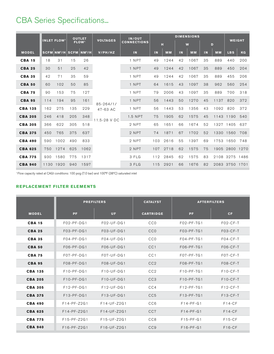## CBA Series Specifications...

|                | <b>OUTLET</b><br><b>INLET FLOW1</b> |                         | <b>IN/OUT</b><br><b>VOLTAGES</b> |                              | <b>DIMENSIONS</b>                     |         |     |           |           | <b>WEIGHT</b> |    |           |                |      |
|----------------|-------------------------------------|-------------------------|----------------------------------|------------------------------|---------------------------------------|---------|-----|-----------|-----------|---------------|----|-----------|----------------|------|
|                |                                     |                         |                                  | FLOW <sup>1</sup>            | <b>CONNECTIONS</b>                    |         | н   |           | W<br>D    |               |    |           |                |      |
| <b>MODEL</b>   |                                     | SCFM NM <sup>3</sup> /H |                                  | <b>SCFM NM<sup>3</sup>/H</b> | V/PH/HZ                               | IN      | IN  | <b>MM</b> | <b>IN</b> | <b>MM</b>     | IN | <b>MM</b> | <b>LBS</b>     | KG   |
| <b>CBA 15</b>  | 18                                  | 31                      | 15                               | 26                           |                                       | 1 NPT   | 49  | 1244      | 42        | 1067          | 35 | 889       | 440            | 200  |
| <b>CBA 25</b>  | 30                                  | 51                      | 25                               | 42                           |                                       | 1 NPT   | 49  | 1244      | 42        | 1067          | 35 | 889       | 450            | 204  |
| <b>CBA 35</b>  | 42                                  | 71                      | 35                               | 59                           |                                       | 1 NPT   | 49  | 1244      | 42        | 1067          | 35 | 889       | 455            | 206  |
| <b>CBA 50</b>  | 60                                  | 102                     | 50                               | 85                           |                                       | 1 NPT   | 64  | 1615      | 43        | 1097          | 38 | 962       | 560            | 254  |
| <b>CBA 75</b>  | 90                                  | 153                     | 75                               | 127                          | 85-264/1/<br>47-63 AC<br>11.5-28 V DC | 1 NPT   | 79  | 2006      | 43        | 1097          | 35 | 889       | 700            | 318  |
| <b>CBA 95</b>  | 114                                 | 194                     | 95                               | 161                          |                                       | 1 NPT   | 56  | 1443      | 50        | 1270          | 45 | 1137      | 820            | 372  |
| <b>CBA 135</b> | 162                                 | 275                     | 135                              | 229                          |                                       | 1 NPT   | 56  | 1443      | 53        | 1356          | 43 | 1092      | 820            | 372  |
| <b>CBA 205</b> | 246                                 | 418                     | 205                              | 348                          |                                       | 1.5 NPT | 75  | 1905      | 62        | 1575          | 45 |           | 1143 1190      | 540  |
| <b>CBA 305</b> | 366                                 | 622                     | 305                              | 518                          |                                       | 2 NPT   | 65  | 1651      | 66        | 1674          | 52 |           | 1327 1405      | 637  |
| <b>CBA 375</b> | 450                                 | 765                     | 375                              | 637                          |                                       | 2 NPT   | 74  | 1871      | 67        | 1702          | 52 |           | 1330 1560      | 708  |
| <b>CBA 490</b> | 590                                 | 1002                    | 490                              | 833                          |                                       | 2 NPT   | 103 | 2616      | 55        | 1397          | 69 |           | 1753 1650      | 748  |
| <b>CBA 625</b> | 750                                 | 1274                    | 625                              | 1062                         |                                       | 2 NPT   | 107 | 2718      | 62        | 1575          | 75 |           | 1905 2800      | 1270 |
| <b>CBA 775</b> | 930                                 | 1580                    | 775                              | 1317                         |                                       | 3 FLG   | 112 | 2845      | 62        | 1575          | 83 |           | 2108 3275 1486 |      |
| <b>CBA 940</b> | 1130                                | 1920                    | 940                              | 1597                         |                                       | 3 FLG   | 115 | 2921      | 66        | 1676          | 82 |           | 2083 3750 1701 |      |

1 Flow capacity rated at CAGI conditions: 100 psig (7.0 bar) and 100°F (38ºC) saturated inlet

#### **REPLACEMENT FILTER ELEMENTS**

|                |              | <b>PREFILTERS</b> | <b>CATALYST</b>  | <b>AFTERFILTERS</b> |            |
|----------------|--------------|-------------------|------------------|---------------------|------------|
| <b>MODEL</b>   | <b>PF</b>    | <b>UF</b>         | <b>CARTRIDGE</b> | <b>PF</b>           | CF         |
| <b>CBA 15</b>  | $F02-PF-DG1$ | $F02-UF-DG1$      | CC <sub>0</sub>  | $F02-PF-TG1$        | $F02-CF-T$ |
| <b>CBA 25</b>  | $F03-PF-DG1$ | F03-UF-DG1        | CC <sub>0</sub>  | F03-PF-TG1          | $FO3-CF-T$ |
| <b>CBA 35</b>  | $FO4-PF-DG1$ | $FO4-UF-DG1$      | CC <sub>0</sub>  | $F04-PF-TG1$        | $FO4-CF-T$ |
| <b>CBA 50</b>  | $F06-PF-DG1$ | $FO6-UF-DG1$      | CC <sub>1</sub>  | F06-PF-TG1          | $FO6-CF-T$ |
| <b>CBA 75</b>  | $FO7-PF-DG1$ | $FO7-UF-DG1$      | CC1              | F07-PF-TG1          | $FO7-CF-T$ |
| <b>CBA 95</b>  | F08-PF-DG1   | $F08-UF-DG1$      | CC2              | F08-PF-TG1          | $FO8-CF-T$ |
| <b>CBA 135</b> | $F10-PF-DG1$ | $F10-UF-DG1$      | CC2              | $F10-PF-TG1$        | $F10-CF-T$ |
| <b>CBA 205</b> | $F10-PF-DG1$ | $F10-UF-DG1$      | CC <sub>3</sub>  | $F10-PF-TG1$        | $F10-CF-T$ |
| <b>CBA 305</b> | $F12-PF-DG1$ | F12-UF-DG1        | CC4              | $F12-PF-TG1$        | $F12-CF-T$ |
| <b>CBA 375</b> | $F13-PF-DG1$ | $F13-UF-DG1$      | CC <sub>5</sub>  | $F13-PF-TG1$        | $F13-CF-T$ |
| <b>CBA 490</b> | F14-PF-Z2G1  | F14-UF-Z2G1       | CC <sub>6</sub>  | $F14-PF-G1$         | $F14-CF$   |
| <b>CBA 625</b> | F14-PF-Z2G1  | $F14-UF-Z2G1$     | CC7              | $F14-PF-G1$         | $F14-CF$   |
| <b>CBA 775</b> | F15-PF-Z2G1  | F15-UF-Z2G1       | CC <sub>8</sub>  | $F15-PF-G1$         | $F15-CF$   |
| <b>CBA 940</b> | F16-PF-Z2G1  | F16-UF-Z2G1       | CC <sub>9</sub>  | $F16-PF-G1$         | $F16-CF$   |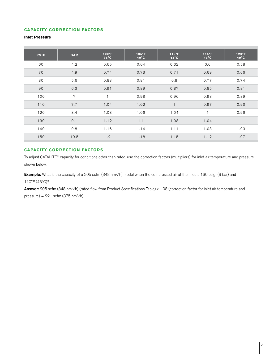#### **CAPACITY CORRECTION FACTORS**

#### **Inlet Pressure**

| <b>PSIG</b> | <b>BAR</b> | $100^{\circ}F$<br>$38^{\circ}$ C | $105^{\circ}F$<br>$40^{\circ}$ C | $110^{\circ}F$<br>$43^{\circ}$ C | $115^{\circ}F$<br>$46^{\circ}$ C | $120^{\circ}F$<br>$49^{\circ}$ C |
|-------------|------------|----------------------------------|----------------------------------|----------------------------------|----------------------------------|----------------------------------|
| 60          | 4.2        | 0.65                             | 0.64                             | 0.62                             | 0.6                              | 0.58                             |
| 70          | 4.9        | 0.74                             | 0.73                             | 0.71                             | 0.69                             | 0.66                             |
| 80          | 5.6        | 0.83                             | 0.81                             | 0.8                              | 0.77                             | 0.74                             |
| 90          | 6.3        | 0.91                             | 0.89                             | 0.87                             | 0.85                             | 0.81                             |
| 100         | 7          | $\overline{1}$                   | 0.98                             | 0.96                             | 0.93                             | 0.89                             |
| 110         | 7.7        | 1.04                             | 1.02                             | $\mathbf{1}$                     | 0.97                             | 0.93                             |
| 120         | 8.4        | 1.08                             | 1.06                             | 1.04                             | 1                                | 0.96                             |
| 130         | 9.1        | 1.12                             | 1.1                              | 1.08                             | 1.04                             |                                  |
| 140         | 9.8        | 1.16                             | 1.14                             | 1.11                             | 1.08                             | 1.03                             |
| 150         | 10.5       | 1.2                              | 1.18                             | 1.15                             | 1.12                             | 1.07                             |

#### **CAPACITY CORRECTION FACTORS**

To adjust CATALITE® capacity for conditions other than rated, use the correction factors (multipliers) for inlet air temperature and pressure shown below.

Example: What is the capacity of a 205 scfm (348 nm<sup>3</sup>/h) model when the compressed air at the inlet is 130 psig (9 bar) and 110°F (43°C)?

Answer: 205 scfm (348 nm<sup>3</sup>/h) (rated flow from Product Specifications Table) x 1.08 (correction factor for inlet air temperature and  $presure) = 221$  scfm (375 nm<sup>3</sup>/h)